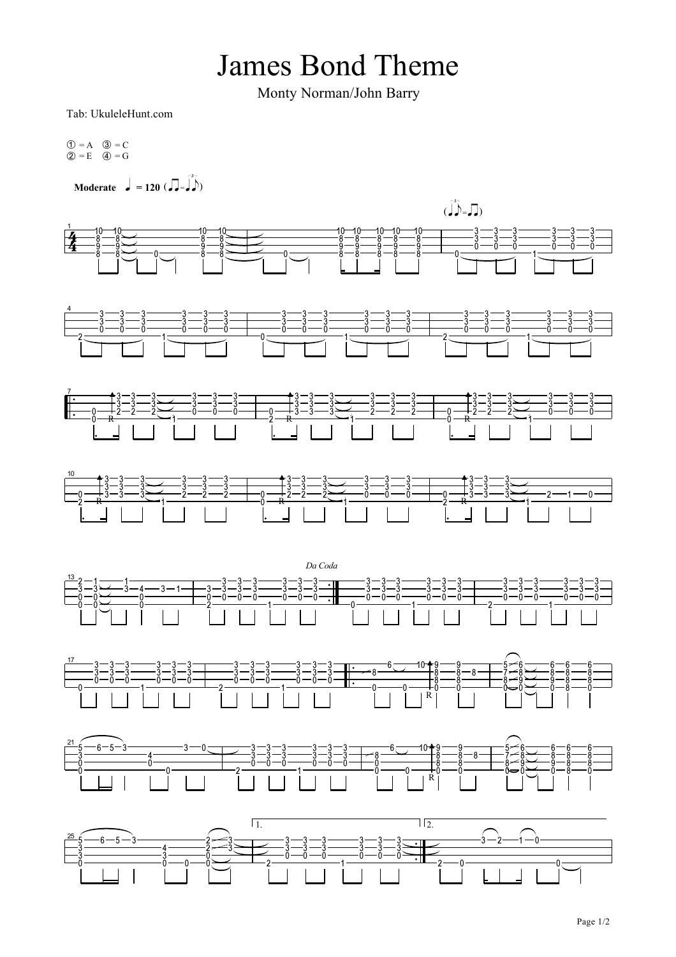## **James Bond Theme**

Monty Norman/John Barry

Tab: UkuleleHunt.com

 $0 = A$   $0 = C$ <br>  $2 = E$   $4 = G$ 

Moderate  $\int = 120 \; (\int = \int_{0}^{3} h$